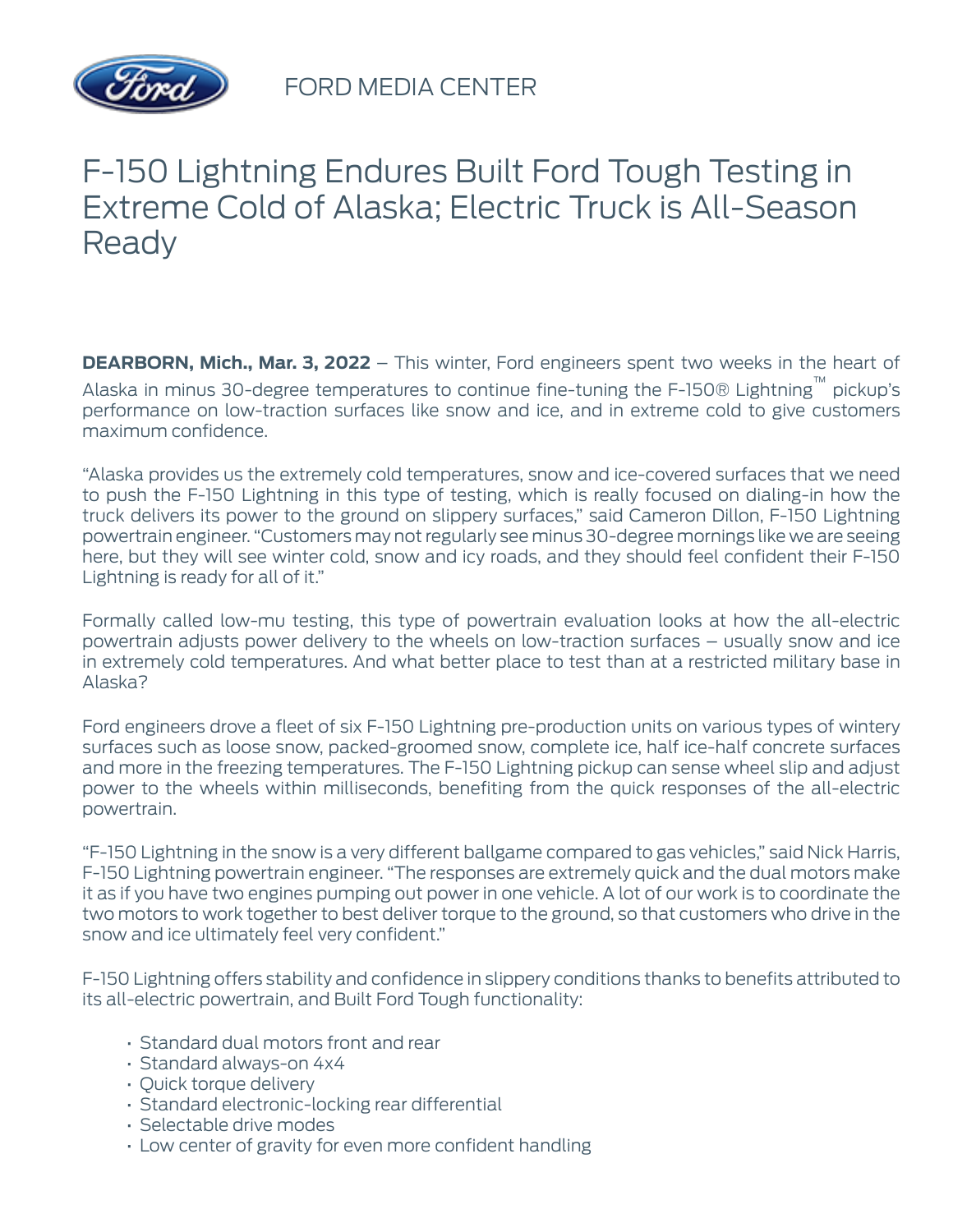

## F-150 Lightning Endures Built Ford Tough Testing in Extreme Cold of Alaska; Electric Truck is All-Season **Ready**

**DEARBORN, Mich., Mar. 3, 2022** – This winter, Ford engineers spent two weeks in the heart of Alaska in minus 30-degree temperatures to continue fine-tuning the F-150® Lightning™ pickup's performance on low-traction surfaces like snow and ice, and in extreme cold to give customers maximum confidence.

"Alaska provides us the extremely cold temperatures, snow and ice-covered surfaces that we need to push the F-150 Lightning in this type of testing, which is really focused on dialing-in how the truck delivers its power to the ground on slippery surfaces," said Cameron Dillon, F-150 Lightning powertrain engineer. "Customers may not regularly see minus 30-degree mornings like we are seeing here, but they will see winter cold, snow and icy roads, and they should feel confident their F-150 Lightning is ready for all of it."

Formally called low-mu testing, this type of powertrain evaluation looks at how the all-electric powertrain adjusts power delivery to the wheels on low-traction surfaces – usually snow and ice in extremely cold temperatures. And what better place to test than at a restricted military base in Alaska?

Ford engineers drove a fleet of six F-150 Lightning pre-production units on various types of wintery surfaces such as loose snow, packed-groomed snow, complete ice, half ice-half concrete surfaces and more in the freezing temperatures. The F-150 Lightning pickup can sense wheel slip and adjust power to the wheels within milliseconds, benefiting from the quick responses of the all-electric powertrain.

"F-150 Lightning in the snow is a very different ballgame compared to gas vehicles," said Nick Harris, F-150 Lightning powertrain engineer. "The responses are extremely quick and the dual motors make it as if you have two engines pumping out power in one vehicle. A lot of our work is to coordinate the two motors to work together to best deliver torque to the ground, so that customers who drive in the snow and ice ultimately feel very confident."

F-150 Lightning offers stability and confidence in slippery conditions thanks to benefits attributed to its all-electric powertrain, and Built Ford Tough functionality:

- Standard dual motors front and rear
- Standard always-on 4x4
- Quick torque delivery
- Standard electronic-locking rear differential
- Selectable drive modes
- Low center of gravity for even more confident handling